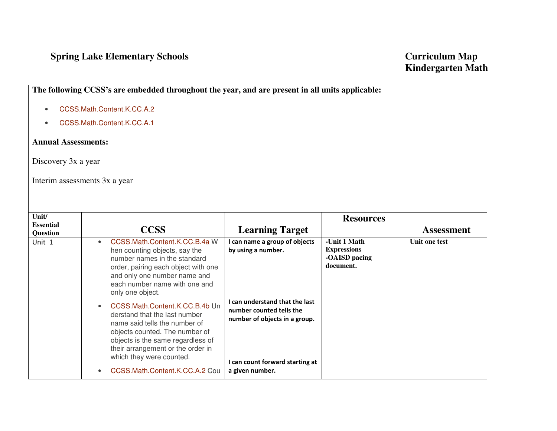## **Spring Lake Elementary Schools Curriculum Map Curriculum Map**

**The following CCSS's are embedded throughout the year, and are present in all units applicable:** 

- •CCSS.Math.Content.K.CC.A.2
- •CCSS.Math.Content.K.CC.A.1

## **Annual Assessments:**

Discovery 3x a year

Interim assessments 3x a year

| Unit/<br><b>Essential</b><br>Question | <b>CCSS</b>                                                                                                                                                                                                                                                                                                                                                                                                                                                                                                                        | <b>Learning Target</b>                                                                                                                                                                                   | <b>Resources</b>                                                 | <b>Assessment</b> |
|---------------------------------------|------------------------------------------------------------------------------------------------------------------------------------------------------------------------------------------------------------------------------------------------------------------------------------------------------------------------------------------------------------------------------------------------------------------------------------------------------------------------------------------------------------------------------------|----------------------------------------------------------------------------------------------------------------------------------------------------------------------------------------------------------|------------------------------------------------------------------|-------------------|
| Unit 1                                | CCSS.Math.Content.K.CC.B.4a W<br>$\bullet$<br>hen counting objects, say the<br>number names in the standard<br>order, pairing each object with one<br>and only one number name and<br>each number name with one and<br>only one object.<br>CCSS.Math.Content.K.CC.B.4b Un<br>$\bullet$<br>derstand that the last number<br>name said tells the number of<br>objects counted. The number of<br>objects is the same regardless of<br>their arrangement or the order in<br>which they were counted.<br>CCSS.Math.Content.K.CC.A.2 Cou | I can name a group of objects<br>by using a number.<br>I can understand that the last<br>number counted tells the<br>number of objects in a group.<br>I can count forward starting at<br>a given number. | -Unit 1 Math<br><b>Expressions</b><br>-OAISD pacing<br>document. | Unit one test     |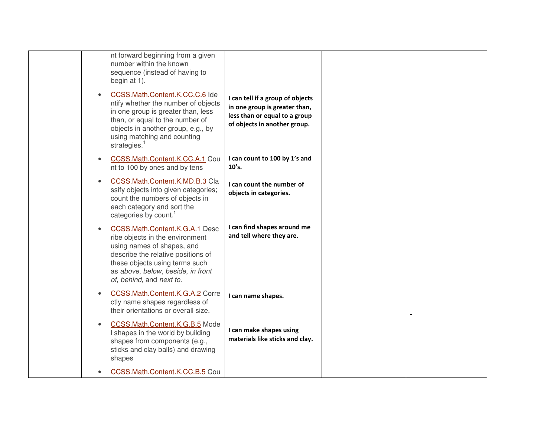|  | nt forward beginning from a given<br>number within the known<br>sequence (instead of having to<br>begin at 1).                                                                                                                           |                                                                                                                                    |  |
|--|------------------------------------------------------------------------------------------------------------------------------------------------------------------------------------------------------------------------------------------|------------------------------------------------------------------------------------------------------------------------------------|--|
|  | CCSS.Math.Content.K.CC.C.6 Ide<br>ntify whether the number of objects<br>in one group is greater than, less<br>than, or equal to the number of<br>objects in another group, e.g., by<br>using matching and counting<br>strategies.       | I can tell if a group of objects<br>in one group is greater than,<br>less than or equal to a group<br>of objects in another group. |  |
|  | CCSS.Math.Content.K.CC.A.1 Cou<br>nt to 100 by ones and by tens                                                                                                                                                                          | I can count to 100 by 1's and<br>10's.                                                                                             |  |
|  | CCSS.Math.Content.K.MD.B.3 Cla<br>ssify objects into given categories;<br>count the numbers of objects in<br>each category and sort the<br>categories by count.                                                                          | I can count the number of<br>objects in categories.                                                                                |  |
|  | CCSS.Math.Content.K.G.A.1 Desc<br>ribe objects in the environment<br>using names of shapes, and<br>describe the relative positions of<br>these objects using terms such<br>as above, below, beside, in front<br>of, behind, and next to. | I can find shapes around me<br>and tell where they are.                                                                            |  |
|  | CCSS.Math.Content.K.G.A.2 Corre<br>ctly name shapes regardless of<br>their orientations or overall size.                                                                                                                                 | I can name shapes.                                                                                                                 |  |
|  | CCSS.Math.Content.K.G.B.5 Mode<br>I shapes in the world by building<br>shapes from components (e.g.,<br>sticks and clay balls) and drawing<br>shapes                                                                                     | I can make shapes using<br>materials like sticks and clay.                                                                         |  |
|  | CCSS.Math.Content.K.CC.B.5 Cou                                                                                                                                                                                                           |                                                                                                                                    |  |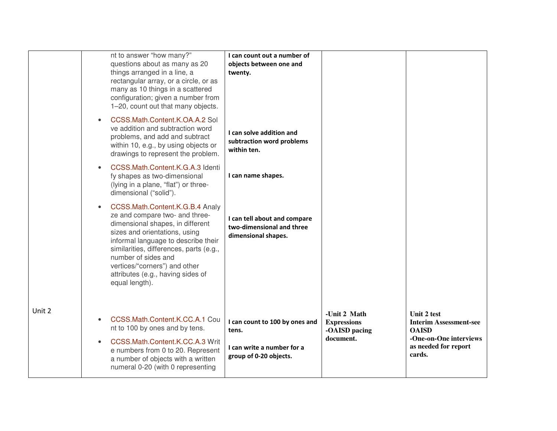|        | nt to answer "how many?"<br>questions about as many as 20<br>things arranged in a line, a<br>rectangular array, or a circle, or as<br>many as 10 things in a scattered<br>configuration; given a number from<br>1-20, count out that many objects.                                                                                                   | I can count out a number of<br>objects between one and<br>twenty.                               |                                                                  |                                                                                                                          |
|--------|------------------------------------------------------------------------------------------------------------------------------------------------------------------------------------------------------------------------------------------------------------------------------------------------------------------------------------------------------|-------------------------------------------------------------------------------------------------|------------------------------------------------------------------|--------------------------------------------------------------------------------------------------------------------------|
|        | CCSS.Math.Content.K.OA.A.2 Sol<br>$\bullet$<br>ve addition and subtraction word<br>problems, and add and subtract<br>within 10, e.g., by using objects or<br>drawings to represent the problem.                                                                                                                                                      | I can solve addition and<br>subtraction word problems<br>within ten.                            |                                                                  |                                                                                                                          |
|        | CCSS.Math.Content.K.G.A.3 Identi<br>$\bullet$<br>fy shapes as two-dimensional<br>(lying in a plane, "flat") or three-<br>dimensional ("solid").                                                                                                                                                                                                      | I can name shapes.                                                                              |                                                                  |                                                                                                                          |
|        | CCSS.Math.Content.K.G.B.4 Analy<br>$\bullet$<br>ze and compare two- and three-<br>dimensional shapes, in different<br>sizes and orientations, using<br>informal language to describe their<br>similarities, differences, parts (e.g.,<br>number of sides and<br>vertices/"corners") and other<br>attributes (e.g., having sides of<br>equal length). | I can tell about and compare<br>two-dimensional and three<br>dimensional shapes.                |                                                                  |                                                                                                                          |
| Unit 2 | CCSS.Math.Content.K.CC.A.1 Cou<br>$\bullet$<br>nt to 100 by ones and by tens.<br>CCSS.Math.Content.K.CC.A.3 Writ<br>$\bullet$<br>e numbers from 0 to 20. Represent<br>a number of objects with a written<br>numeral 0-20 (with 0 representing                                                                                                        | I can count to 100 by ones and<br>tens.<br>I can write a number for a<br>group of 0-20 objects. | -Unit 2 Math<br><b>Expressions</b><br>-OAISD pacing<br>document. | Unit 2 test<br><b>Interim Assessment-see</b><br><b>OAISD</b><br>-One-on-One interviews<br>as needed for report<br>cards. |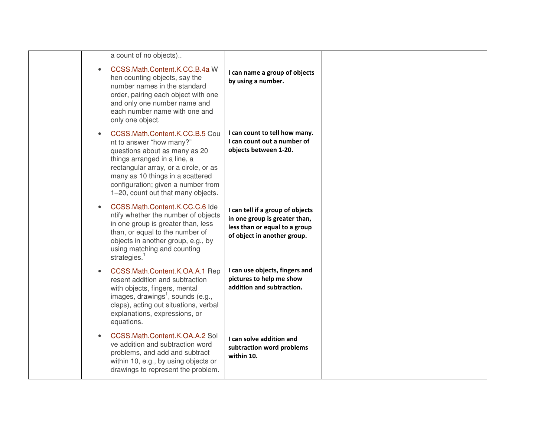| a count of no objects)                                                                                                                                                                                                                                                               |                                                                                                                                   |  |
|--------------------------------------------------------------------------------------------------------------------------------------------------------------------------------------------------------------------------------------------------------------------------------------|-----------------------------------------------------------------------------------------------------------------------------------|--|
| CCSS.Math.Content.K.CC.B.4a W<br>hen counting objects, say the<br>number names in the standard<br>order, pairing each object with one<br>and only one number name and<br>each number name with one and<br>only one object.                                                           | I can name a group of objects<br>by using a number.                                                                               |  |
| CCSS.Math.Content.K.CC.B.5 Cou<br>nt to answer "how many?"<br>questions about as many as 20<br>things arranged in a line, a<br>rectangular array, or a circle, or as<br>many as 10 things in a scattered<br>configuration; given a number from<br>1-20, count out that many objects. | I can count to tell how many.<br>I can count out a number of<br>objects between 1-20.                                             |  |
| CCSS.Math.Content.K.CC.C.6 Ide<br>ntify whether the number of objects<br>in one group is greater than, less<br>than, or equal to the number of<br>objects in another group, e.g., by<br>using matching and counting<br>strategies. <sup>1</sup>                                      | I can tell if a group of objects<br>in one group is greater than,<br>less than or equal to a group<br>of object in another group. |  |
| CCSS.Math.Content.K.OA.A.1 Rep<br>resent addition and subtraction<br>with objects, fingers, mental<br>images, drawings <sup>1</sup> , sounds (e.g.,<br>claps), acting out situations, verbal<br>explanations, expressions, or<br>equations.                                          | I can use objects, fingers and<br>pictures to help me show<br>addition and subtraction.                                           |  |
| CCSS.Math.Content.K.OA.A.2 Sol<br>ve addition and subtraction word<br>problems, and add and subtract<br>within 10, e.g., by using objects or<br>drawings to represent the problem.                                                                                                   | I can solve addition and<br>subtraction word problems<br>within 10.                                                               |  |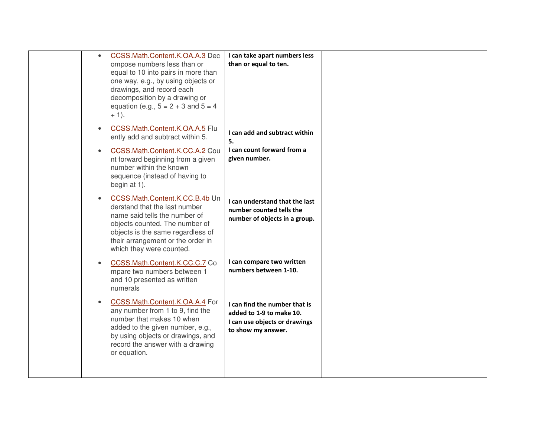| CCSS.Math.Content.K.OA.A.3 Dec<br>$\bullet$<br>ompose numbers less than or<br>equal to 10 into pairs in more than<br>one way, e.g., by using objects or<br>drawings, and record each<br>decomposition by a drawing or<br>equation (e.g., $5 = 2 + 3$ and $5 = 4$ )<br>$+1$ ). | I can take apart numbers less<br>than or equal to ten.                                                           |  |
|-------------------------------------------------------------------------------------------------------------------------------------------------------------------------------------------------------------------------------------------------------------------------------|------------------------------------------------------------------------------------------------------------------|--|
| CCSS.Math.Content.K.OA.A.5 Flu<br>ently add and subtract within 5.                                                                                                                                                                                                            | I can add and subtract within<br>5.                                                                              |  |
| CCSS.Math.Content.K.CC.A.2 Cou<br>nt forward beginning from a given<br>number within the known<br>sequence (instead of having to<br>begin at 1).                                                                                                                              | I can count forward from a<br>given number.                                                                      |  |
| CCSS.Math.Content.K.CC.B.4b Un<br>derstand that the last number<br>name said tells the number of<br>objects counted. The number of<br>objects is the same regardless of<br>their arrangement or the order in<br>which they were counted.                                      | I can understand that the last<br>number counted tells the<br>number of objects in a group.                      |  |
| CCSS.Math.Content.K.CC.C.7 Co<br>mpare two numbers between 1<br>and 10 presented as written<br>numerals                                                                                                                                                                       | I can compare two written<br>numbers between 1-10.                                                               |  |
| CCSS.Math.Content.K.OA.A.4 For<br>any number from 1 to 9, find the<br>number that makes 10 when<br>added to the given number, e.g.,<br>by using objects or drawings, and<br>record the answer with a drawing<br>or equation.                                                  | I can find the number that is<br>added to 1-9 to make 10.<br>I can use objects or drawings<br>to show my answer. |  |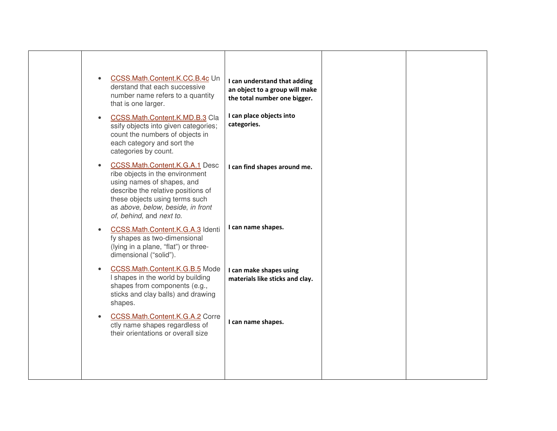| CCSS.Math.Content.K.CC.B.4c Un<br>$\bullet$<br>derstand that each successive<br>number name refers to a quantity<br>that is one larger.                                                                                                                      | I can understand that adding<br>an object to a group will make<br>the total number one bigger. |  |
|--------------------------------------------------------------------------------------------------------------------------------------------------------------------------------------------------------------------------------------------------------------|------------------------------------------------------------------------------------------------|--|
| CCSS.Math.Content.K.MD.B.3 Cla<br>$\bullet$<br>ssify objects into given categories;<br>count the numbers of objects in<br>each category and sort the<br>categories by count.                                                                                 | I can place objects into<br>categories.                                                        |  |
| <b>CCSS.Math.Content.K.G.A.1 Desc</b><br>$\bullet$<br>ribe objects in the environment<br>using names of shapes, and<br>describe the relative positions of<br>these objects using terms such<br>as above, below, beside, in front<br>of, behind, and next to. | I can find shapes around me.                                                                   |  |
| CCSS.Math.Content.K.G.A.3 Identi<br>$\bullet$<br>fy shapes as two-dimensional<br>(lying in a plane, "flat") or three-<br>dimensional ("solid").                                                                                                              | I can name shapes.                                                                             |  |
| CCSS.Math.Content.K.G.B.5 Mode<br>$\bullet$<br>I shapes in the world by building<br>shapes from components (e.g.,<br>sticks and clay balls) and drawing<br>shapes.                                                                                           | I can make shapes using<br>materials like sticks and clay.                                     |  |
| CCSS.Math.Content.K.G.A.2 Corre<br>$\bullet$<br>ctly name shapes regardless of<br>their orientations or overall size                                                                                                                                         | I can name shapes.                                                                             |  |
|                                                                                                                                                                                                                                                              |                                                                                                |  |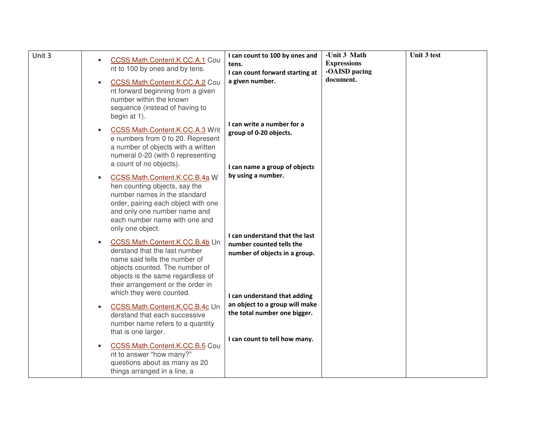| Unit 3 | CCSS.Math.Content.K.CC.A.1 Cou<br>$\bullet$<br>nt to 100 by ones and by tens.<br>CCSS.Math.Content.K.CC.A.2 Cou<br>$\bullet$<br>nt forward beginning from a given<br>number within the known<br>sequence (instead of having to<br>begin at 1).        | I can count to 100 by ones and<br>tens.<br>I can count forward starting at<br>a given number.                               | -Unit 3 Math<br><b>Expressions</b><br>-OAISD pacing<br>document. | Unit 3 test |
|--------|-------------------------------------------------------------------------------------------------------------------------------------------------------------------------------------------------------------------------------------------------------|-----------------------------------------------------------------------------------------------------------------------------|------------------------------------------------------------------|-------------|
|        | CCSS.Math.Content.K.CC.A.3 Writ<br>$\bullet$<br>e numbers from 0 to 20. Represent<br>a number of objects with a written<br>numeral 0-20 (with 0 representing<br>a count of no objects).                                                               | I can write a number for a<br>group of 0-20 objects.<br>I can name a group of objects                                       |                                                                  |             |
|        | CCSS.Math.Content.K.CC.B.4a W<br>$\bullet$<br>hen counting objects, say the<br>number names in the standard<br>order, pairing each object with one<br>and only one number name and<br>each number name with one and<br>only one object.               | by using a number.                                                                                                          |                                                                  |             |
|        | CCSS.Math.Content.K.CC.B.4b Un<br>$\bullet$<br>derstand that the last number<br>name said tells the number of<br>objects counted. The number of<br>objects is the same regardless of<br>their arrangement or the order in<br>which they were counted. | I can understand that the last<br>number counted tells the<br>number of objects in a group.<br>I can understand that adding |                                                                  |             |
|        | CCSS.Math.Content.K.CC.B.4c Un<br>$\bullet$<br>derstand that each successive<br>number name refers to a quantity<br>that is one larger.                                                                                                               | an object to a group will make<br>the total number one bigger.                                                              |                                                                  |             |
|        | CCSS.Math.Content.K.CC.B.5 Cou<br>$\bullet$<br>nt to answer "how many?"<br>questions about as many as 20<br>things arranged in a line, a                                                                                                              | I can count to tell how many.                                                                                               |                                                                  |             |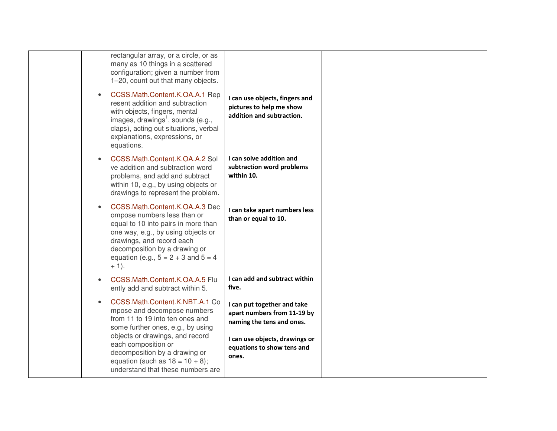| rectangular array, or a circle, or as<br>many as 10 things in a scattered<br>configuration; given a number from<br>1-20, count out that many objects.                                                                                                            |                                                                                                                           |  |
|------------------------------------------------------------------------------------------------------------------------------------------------------------------------------------------------------------------------------------------------------------------|---------------------------------------------------------------------------------------------------------------------------|--|
| CCSS.Math.Content.K.OA.A.1 Rep<br>resent addition and subtraction<br>with objects, fingers, mental<br>images, drawings <sup>1</sup> , sounds (e.g.,<br>claps), acting out situations, verbal<br>explanations, expressions, or<br>equations.                      | I can use objects, fingers and<br>pictures to help me show<br>addition and subtraction.                                   |  |
| CCSS.Math.Content.K.OA.A.2 Sol<br>ve addition and subtraction word<br>problems, and add and subtract<br>within 10, e.g., by using objects or<br>drawings to represent the problem.                                                                               | I can solve addition and<br>subtraction word problems<br>within 10.                                                       |  |
| CCSS.Math.Content.K.OA.A.3 Dec<br>ompose numbers less than or<br>equal to 10 into pairs in more than<br>one way, e.g., by using objects or<br>drawings, and record each<br>decomposition by a drawing or<br>equation (e.g., $5 = 2 + 3$ and $5 = 4$ )<br>$+1$ ). | I can take apart numbers less<br>than or equal to 10.                                                                     |  |
| CCSS.Math.Content.K.OA.A.5 Flu<br>ently add and subtract within 5.                                                                                                                                                                                               | I can add and subtract within<br>five.                                                                                    |  |
| CCSS.Math.Content.K.NBT.A.1 Co<br>mpose and decompose numbers<br>from 11 to 19 into ten ones and<br>some further ones, e.g., by using<br>objects or drawings, and record                                                                                         | I can put together and take<br>apart numbers from 11-19 by<br>naming the tens and ones.<br>I can use objects, drawings or |  |
| each composition or<br>decomposition by a drawing or<br>equation (such as $18 = 10 + 8$ );<br>understand that these numbers are                                                                                                                                  | equations to show tens and<br>ones.                                                                                       |  |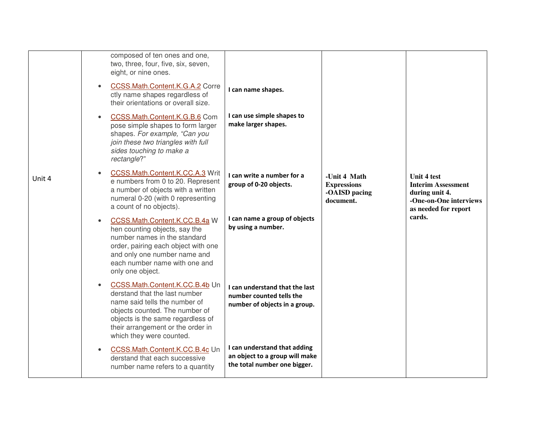|        | $\bullet$ | composed of ten ones and one,<br>two, three, four, five, six, seven,<br>eight, or nine ones.<br>CCSS.Math.Content.K.G.A.2 Corre<br>ctly name shapes regardless of<br>their orientations or overall size.                                 | I can name shapes.                                                                             |                                                                  |                                                                                                              |
|--------|-----------|------------------------------------------------------------------------------------------------------------------------------------------------------------------------------------------------------------------------------------------|------------------------------------------------------------------------------------------------|------------------------------------------------------------------|--------------------------------------------------------------------------------------------------------------|
|        | $\bullet$ | CCSS.Math.Content.K.G.B.6 Com<br>pose simple shapes to form larger<br>shapes. For example, "Can you<br>join these two triangles with full<br>sides touching to make a<br>rectangle?"                                                     | I can use simple shapes to<br>make larger shapes.                                              |                                                                  |                                                                                                              |
| Unit 4 | $\bullet$ | CCSS.Math.Content.K.CC.A.3 Writ<br>e numbers from 0 to 20. Represent<br>a number of objects with a written<br>numeral 0-20 (with 0 representing<br>a count of no objects).                                                               | I can write a number for a<br>group of 0-20 objects.                                           | -Unit 4 Math<br><b>Expressions</b><br>-OAISD pacing<br>document. | Unit 4 test<br><b>Interim Assessment</b><br>during unit 4.<br>-One-on-One interviews<br>as needed for report |
|        | $\bullet$ | CCSS.Math.Content.K.CC.B.4a W<br>hen counting objects, say the<br>number names in the standard<br>order, pairing each object with one<br>and only one number name and<br>each number name with one and<br>only one object.               | I can name a group of objects<br>by using a number.                                            |                                                                  | cards.                                                                                                       |
|        | $\bullet$ | CCSS.Math.Content.K.CC.B.4b Un<br>derstand that the last number<br>name said tells the number of<br>objects counted. The number of<br>objects is the same regardless of<br>their arrangement or the order in<br>which they were counted. | I can understand that the last<br>number counted tells the<br>number of objects in a group.    |                                                                  |                                                                                                              |
|        |           | CCSS.Math.Content.K.CC.B.4c Un<br>derstand that each successive<br>number name refers to a quantity                                                                                                                                      | I can understand that adding<br>an object to a group will make<br>the total number one bigger. |                                                                  |                                                                                                              |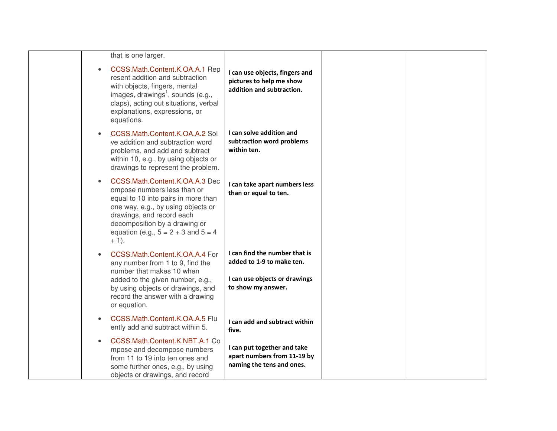| that is one larger.                                                                                                                                                                                                                                            |                                                                                                                   |  |
|----------------------------------------------------------------------------------------------------------------------------------------------------------------------------------------------------------------------------------------------------------------|-------------------------------------------------------------------------------------------------------------------|--|
| CCSS.Math.Content.K.OA.A.1 Rep<br>$\bullet$<br>resent addition and subtraction<br>with objects, fingers, mental<br>images, drawings <sup>1</sup> , sounds (e.g.,<br>claps), acting out situations, verbal<br>explanations, expressions, or<br>equations.       | I can use objects, fingers and<br>pictures to help me show<br>addition and subtraction.                           |  |
| CCSS.Math.Content.K.OA.A.2 Sol<br>ve addition and subtraction word<br>problems, and add and subtract<br>within 10, e.g., by using objects or<br>drawings to represent the problem.                                                                             | I can solve addition and<br>subtraction word problems<br>within ten.                                              |  |
| CCSS.Math.Content.K.OA.A.3 Dec<br>ompose numbers less than or<br>equal to 10 into pairs in more than<br>one way, e.g., by using objects or<br>drawings, and record each<br>decomposition by a drawing or<br>equation (e.g., $5 = 2 + 3$ and $5 = 4$<br>$+1$ ). | I can take apart numbers less<br>than or equal to ten.                                                            |  |
| CCSS.Math.Content.K.OA.A.4 For<br>any number from 1 to 9, find the<br>number that makes 10 when<br>added to the given number, e.g.,<br>by using objects or drawings, and<br>record the answer with a drawing<br>or equation.                                   | I can find the number that is<br>added to 1-9 to make ten.<br>I can use objects or drawings<br>to show my answer. |  |
| CCSS.Math.Content.K.OA.A.5 Flu<br>$\bullet$<br>ently add and subtract within 5.                                                                                                                                                                                | I can add and subtract within<br>five.                                                                            |  |
| CCSS.Math.Content.K.NBT.A.1 Co<br>mpose and decompose numbers<br>from 11 to 19 into ten ones and<br>some further ones, e.g., by using<br>objects or drawings, and record                                                                                       | I can put together and take<br>apart numbers from 11-19 by<br>naming the tens and ones.                           |  |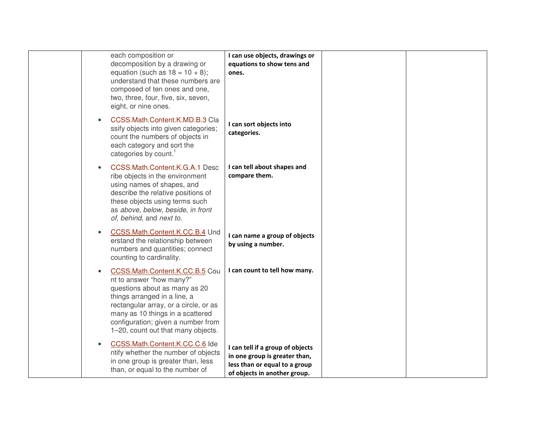| each composition or<br>decomposition by a drawing or<br>equation (such as $18 = 10 + 8$ );<br>understand that these numbers are<br>composed of ten ones and one,<br>two, three, four, five, six, seven,<br>eight, or nine ones.                                                                   | I can use objects, drawings or<br>equations to show tens and<br>ones.                                                              |  |
|---------------------------------------------------------------------------------------------------------------------------------------------------------------------------------------------------------------------------------------------------------------------------------------------------|------------------------------------------------------------------------------------------------------------------------------------|--|
| CCSS.Math.Content.K.MD.B.3 Cla<br>$\bullet$<br>ssify objects into given categories;<br>count the numbers of objects in<br>each category and sort the<br>categories by count. <sup>1</sup>                                                                                                         | I can sort objects into<br>categories.                                                                                             |  |
| CCSS.Math.Content.K.G.A.1 Desc<br>$\bullet$<br>ribe objects in the environment<br>using names of shapes, and<br>describe the relative positions of<br>these objects using terms such<br>as above, below, beside, in front<br>of, behind, and next to.                                             | I can tell about shapes and<br>compare them.                                                                                       |  |
| CCSS.Math.Content.K.CC.B.4 Und<br>$\bullet$<br>erstand the relationship between<br>numbers and quantities; connect<br>counting to cardinality.                                                                                                                                                    | I can name a group of objects<br>by using a number.                                                                                |  |
| CCSS.Math.Content.K.CC.B.5 Cou<br>$\bullet$<br>nt to answer "how many?"<br>questions about as many as 20<br>things arranged in a line, a<br>rectangular array, or a circle, or as<br>many as 10 things in a scattered<br>configuration; given a number from<br>1-20, count out that many objects. | I can count to tell how many.                                                                                                      |  |
| CCSS.Math.Content.K.CC.C.6 Ide<br>$\bullet$<br>ntify whether the number of objects<br>in one group is greater than, less<br>than, or equal to the number of                                                                                                                                       | I can tell if a group of objects<br>in one group is greater than,<br>less than or equal to a group<br>of objects in another group. |  |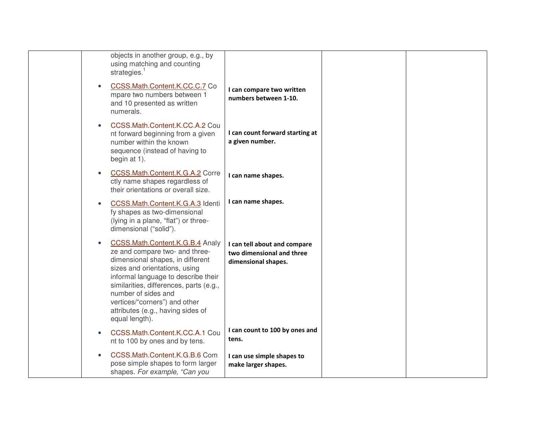| objects in another group, e.g., by<br>using matching and counting<br>strategies. $1$                                                                                                                                                                                                                                                                 |                                                                                  |  |
|------------------------------------------------------------------------------------------------------------------------------------------------------------------------------------------------------------------------------------------------------------------------------------------------------------------------------------------------------|----------------------------------------------------------------------------------|--|
| CCSS.Math.Content.K.CC.C.7 Co<br>$\bullet$<br>mpare two numbers between 1<br>and 10 presented as written<br>numerals.                                                                                                                                                                                                                                | I can compare two written<br>numbers between 1-10.                               |  |
| CCSS.Math.Content.K.CC.A.2 Cou<br>$\bullet$<br>nt forward beginning from a given<br>number within the known<br>sequence (instead of having to<br>begin at 1).                                                                                                                                                                                        | I can count forward starting at<br>a given number.                               |  |
| CCSS.Math.Content.K.G.A.2 Corre<br>$\bullet$<br>ctly name shapes regardless of<br>their orientations or overall size.                                                                                                                                                                                                                                | I can name shapes.                                                               |  |
| CCSS.Math.Content.K.G.A.3 Identi<br>$\bullet$<br>fy shapes as two-dimensional<br>(lying in a plane, "flat") or three-<br>dimensional ("solid").                                                                                                                                                                                                      | I can name shapes.                                                               |  |
| CCSS.Math.Content.K.G.B.4 Analy<br>$\bullet$<br>ze and compare two- and three-<br>dimensional shapes, in different<br>sizes and orientations, using<br>informal language to describe their<br>similarities, differences, parts (e.g.,<br>number of sides and<br>vertices/"corners") and other<br>attributes (e.g., having sides of<br>equal length). | I can tell about and compare<br>two dimensional and three<br>dimensional shapes. |  |
| CCSS.Math.Content.K.CC.A.1 Cou<br>$\bullet$<br>nt to 100 by ones and by tens.                                                                                                                                                                                                                                                                        | I can count to 100 by ones and<br>tens.                                          |  |
| CCSS.Math.Content.K.G.B.6 Com<br>$\bullet$<br>pose simple shapes to form larger<br>shapes. For example, "Can you                                                                                                                                                                                                                                     | I can use simple shapes to<br>make larger shapes.                                |  |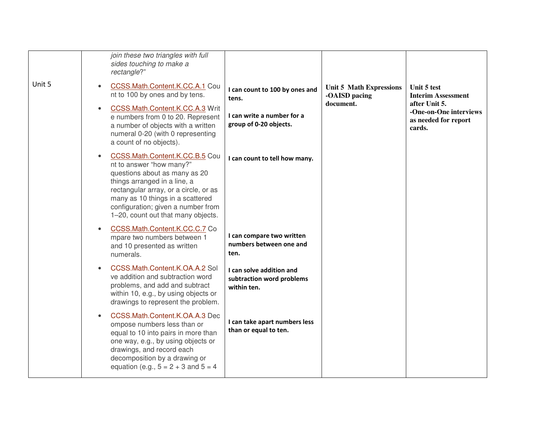| Unit 5 | join these two triangles with full<br>sides touching to make a<br>rectangle?"<br>CCSS.Math.Content.K.CC.A.1 Cou<br>$\bullet$<br>nt to 100 by ones and by tens.<br>CCSS.Math.Content.K.CC.A.3 Writ<br>$\bullet$<br>e numbers from 0 to 20. Represent<br>a number of objects with a written<br>numeral 0-20 (with 0 representing<br>a count of no objects). | I can count to 100 by ones and<br>tens.<br>I can write a number for a<br>group of 0-20 objects. | <b>Unit 5 Math Expressions</b><br>-OAISD pacing<br>document. | Unit 5 test<br><b>Interim Assessment</b><br>after Unit 5.<br>-One-on-One interviews<br>as needed for report<br>cards. |
|--------|-----------------------------------------------------------------------------------------------------------------------------------------------------------------------------------------------------------------------------------------------------------------------------------------------------------------------------------------------------------|-------------------------------------------------------------------------------------------------|--------------------------------------------------------------|-----------------------------------------------------------------------------------------------------------------------|
|        | CCSS.Math.Content.K.CC.B.5 Cou<br>$\bullet$<br>nt to answer "how many?"<br>questions about as many as 20<br>things arranged in a line, a<br>rectangular array, or a circle, or as<br>many as 10 things in a scattered<br>configuration; given a number from<br>1-20, count out that many objects.                                                         | I can count to tell how many.                                                                   |                                                              |                                                                                                                       |
|        | CCSS.Math.Content.K.CC.C.7 Co<br>$\bullet$<br>mpare two numbers between 1<br>and 10 presented as written<br>numerals.                                                                                                                                                                                                                                     | I can compare two written<br>numbers between one and<br>ten.                                    |                                                              |                                                                                                                       |
|        | CCSS.Math.Content.K.OA.A.2 Sol<br>$\bullet$<br>ve addition and subtraction word<br>problems, and add and subtract<br>within 10, e.g., by using objects or<br>drawings to represent the problem.                                                                                                                                                           | I can solve addition and<br>subtraction word problems<br>within ten.                            |                                                              |                                                                                                                       |
|        | CCSS.Math.Content.K.OA.A.3 Dec<br>$\bullet$<br>ompose numbers less than or<br>equal to 10 into pairs in more than<br>one way, e.g., by using objects or<br>drawings, and record each<br>decomposition by a drawing or<br>equation (e.g., $5 = 2 + 3$ and $5 = 4$ )                                                                                        | I can take apart numbers less<br>than or equal to ten.                                          |                                                              |                                                                                                                       |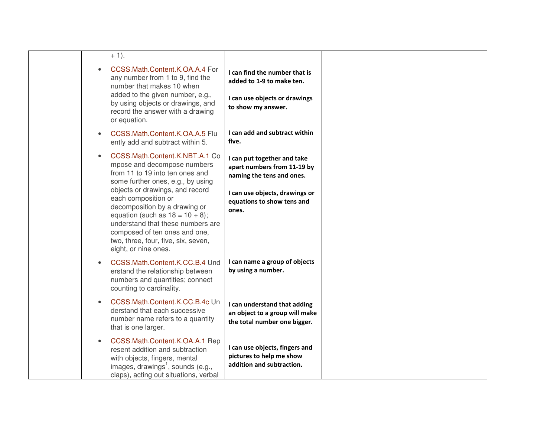| $+1$ ).                                                                                                                                                                                                                                                            |                                                                                                |
|--------------------------------------------------------------------------------------------------------------------------------------------------------------------------------------------------------------------------------------------------------------------|------------------------------------------------------------------------------------------------|
| CCSS.Math.Content.K.OA.A.4 For<br>$\bullet$<br>any number from 1 to 9, find the<br>number that makes 10 when                                                                                                                                                       | I can find the number that is<br>added to 1-9 to make ten.                                     |
| added to the given number, e.g.,<br>by using objects or drawings, and<br>record the answer with a drawing<br>or equation.                                                                                                                                          | I can use objects or drawings<br>to show my answer.                                            |
| CCSS.Math.Content.K.OA.A.5 Flu<br>$\bullet$<br>ently add and subtract within 5.                                                                                                                                                                                    | I can add and subtract within<br>five.                                                         |
| CCSS.Math.Content.K.NBT.A.1 Co<br>$\bullet$<br>mpose and decompose numbers<br>from 11 to 19 into ten ones and<br>some further ones, e.g., by using                                                                                                                 | I can put together and take<br>apart numbers from 11-19 by<br>naming the tens and ones.        |
| objects or drawings, and record<br>each composition or<br>decomposition by a drawing or<br>equation (such as $18 = 10 + 8$ );<br>understand that these numbers are<br>composed of ten ones and one,<br>two, three, four, five, six, seven,<br>eight, or nine ones. | I can use objects, drawings or<br>equations to show tens and<br>ones.                          |
| CCSS.Math.Content.K.CC.B.4 Und<br>$\bullet$<br>erstand the relationship between<br>numbers and quantities; connect<br>counting to cardinality.                                                                                                                     | I can name a group of objects<br>by using a number.                                            |
| CCSS.Math.Content.K.CC.B.4c Un<br>$\bullet$<br>derstand that each successive<br>number name refers to a quantity<br>that is one larger.                                                                                                                            | I can understand that adding<br>an object to a group will make<br>the total number one bigger. |
| CCSS.Math.Content.K.OA.A.1 Rep<br>$\bullet$<br>resent addition and subtraction<br>with objects, fingers, mental<br>images, drawings <sup>1</sup> , sounds (e.g.,<br>claps), acting out situations, verbal                                                          | I can use objects, fingers and<br>pictures to help me show<br>addition and subtraction.        |